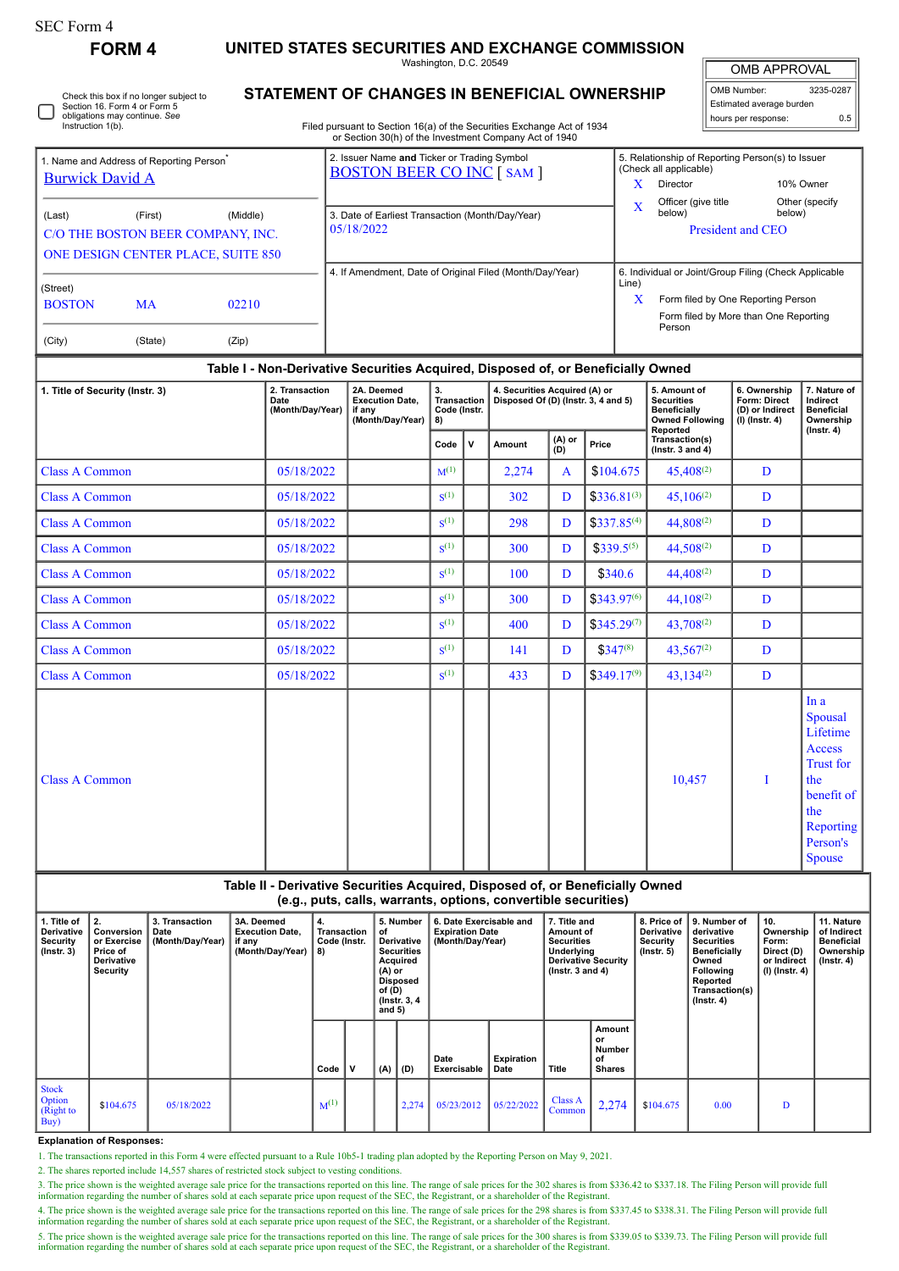Check this box if no longer subject to

## **FORM 4 UNITED STATES SECURITIES AND EXCHANGE COMMISSION**

Washington, D.C. 20549 **STATEMENT OF CHANGES IN BENEFICIAL OWNERSHIP**

OMB APPROVAL

| OMB Number:              | 3235-0287 |  |  |  |  |  |  |  |  |  |
|--------------------------|-----------|--|--|--|--|--|--|--|--|--|
| Estimated average burden |           |  |  |  |  |  |  |  |  |  |
| hours per response:      | 0.5       |  |  |  |  |  |  |  |  |  |

|                                                                                                                                                                   | Section 16. Form 4 or Form 5<br>obligations may continue. See<br>Instruction 1(b).                                                   |            |            |                                                        |           |                                                                                 |                                                          |                                                                                                                               |                                         |                                            | Filed pursuant to Section 16(a) of the Securities Exchange Act of 1934<br>or Section 30(h) of the Investment Company Act of 1940                |                                                                                                             |                                               |                                                                                            |                                                                                                                                                              |                                                                                                                                                | hours per response:                                           | Estimated average burden                                                   | 0.5                                                                                                                            |  |
|-------------------------------------------------------------------------------------------------------------------------------------------------------------------|--------------------------------------------------------------------------------------------------------------------------------------|------------|------------|--------------------------------------------------------|-----------|---------------------------------------------------------------------------------|----------------------------------------------------------|-------------------------------------------------------------------------------------------------------------------------------|-----------------------------------------|--------------------------------------------|-------------------------------------------------------------------------------------------------------------------------------------------------|-------------------------------------------------------------------------------------------------------------|-----------------------------------------------|--------------------------------------------------------------------------------------------|--------------------------------------------------------------------------------------------------------------------------------------------------------------|------------------------------------------------------------------------------------------------------------------------------------------------|---------------------------------------------------------------|----------------------------------------------------------------------------|--------------------------------------------------------------------------------------------------------------------------------|--|
| 1. Name and Address of Reporting Person <sup>®</sup><br><b>Burwick David A</b>                                                                                    |                                                                                                                                      |            |            |                                                        |           | 2. Issuer Name and Ticker or Trading Symbol<br><b>BOSTON BEER CO INC [SAM ]</b> |                                                          |                                                                                                                               |                                         |                                            |                                                                                                                                                 |                                                                                                             |                                               | $\mathbf{X}$                                                                               | (Check all applicable)<br>Director                                                                                                                           |                                                                                                                                                | 5. Relationship of Reporting Person(s) to Issuer<br>10% Owner |                                                                            |                                                                                                                                |  |
| (First)<br>(Middle)<br>(Last)<br>C/O THE BOSTON BEER COMPANY, INC.<br>ONE DESIGN CENTER PLACE, SUITE 850                                                          |                                                                                                                                      |            |            |                                                        |           | 3. Date of Earliest Transaction (Month/Day/Year)<br>05/18/2022                  |                                                          |                                                                                                                               |                                         |                                            |                                                                                                                                                 |                                                                                                             |                                               | Officer (give title<br>Other (specify<br>X<br>below)<br>below)<br><b>President and CEO</b> |                                                                                                                                                              |                                                                                                                                                |                                                               |                                                                            |                                                                                                                                |  |
| (Street)<br><b>BOSTON</b><br><b>MA</b><br>02210                                                                                                                   |                                                                                                                                      |            |            |                                                        |           | 4. If Amendment, Date of Original Filed (Month/Day/Year)                        |                                                          |                                                                                                                               |                                         |                                            |                                                                                                                                                 |                                                                                                             |                                               |                                                                                            | 6. Individual or Joint/Group Filing (Check Applicable<br>Line)<br>X<br>Form filed by One Reporting Person<br>Form filed by More than One Reporting<br>Person |                                                                                                                                                |                                                               |                                                                            |                                                                                                                                |  |
| (City)                                                                                                                                                            |                                                                                                                                      | (State)    | (Zip)      |                                                        |           |                                                                                 |                                                          |                                                                                                                               |                                         |                                            |                                                                                                                                                 |                                                                                                             |                                               |                                                                                            |                                                                                                                                                              |                                                                                                                                                |                                                               |                                                                            |                                                                                                                                |  |
| Table I - Non-Derivative Securities Acquired, Disposed of, or Beneficially Owned<br>2. Transaction<br>1. Title of Security (Instr. 3)<br>Date<br>(Month/Day/Year) |                                                                                                                                      |            |            |                                                        |           | if any                                                                          | 2A. Deemed<br><b>Execution Date,</b><br>(Month/Day/Year) |                                                                                                                               | 3.<br>Transaction<br>Code (Instr.<br>8) |                                            | 4. Securities Acquired (A) or<br>Disposed Of (D) (Instr. 3, 4 and 5)                                                                            | 5. Amount of<br><b>Securities</b><br><b>Beneficially</b>                                                    |                                               | <b>Owned Following</b>                                                                     | 6. Ownership<br>Form: Direct<br>(D) or Indirect<br>$(I)$ (Instr. 4)                                                                                          |                                                                                                                                                | 7. Nature of<br>Indirect<br><b>Beneficial</b><br>Ownership    |                                                                            |                                                                                                                                |  |
|                                                                                                                                                                   |                                                                                                                                      |            |            |                                                        |           |                                                                                 |                                                          |                                                                                                                               |                                         | v                                          | <b>Amount</b>                                                                                                                                   | (A) or<br>Price<br>(D)                                                                                      |                                               |                                                                                            |                                                                                                                                                              |                                                                                                                                                | Reported<br>Transaction(s)<br>( $lnstr. 3 and 4$ )            |                                                                            | $($ lnstr. 4 $)$                                                                                                               |  |
| <b>Class A Common</b>                                                                                                                                             |                                                                                                                                      |            |            | 05/18/2022                                             |           |                                                                                 |                                                          |                                                                                                                               | $M^{(1)}$                               |                                            | 2,274                                                                                                                                           | A                                                                                                           |                                               | \$104.675                                                                                  |                                                                                                                                                              | $45,408^{(2)}$                                                                                                                                 |                                                               | D                                                                          |                                                                                                                                |  |
| <b>Class A Common</b>                                                                                                                                             |                                                                                                                                      |            |            | 05/18/2022                                             |           |                                                                                 |                                                          |                                                                                                                               | $S^{(1)}$                               |                                            | $$336.81^{(3)}$<br>302<br>D                                                                                                                     |                                                                                                             |                                               | $45,106^{(2)}$                                                                             |                                                                                                                                                              | D                                                                                                                                              |                                                               |                                                                            |                                                                                                                                |  |
| <b>Class A Common</b>                                                                                                                                             |                                                                                                                                      |            |            | 05/18/2022                                             |           |                                                                                 |                                                          |                                                                                                                               | S <sup>(1)</sup>                        |                                            | 298                                                                                                                                             | D                                                                                                           |                                               | $$337.85^{(4)}$                                                                            | 44,808 <sup>(2)</sup>                                                                                                                                        |                                                                                                                                                | D                                                             |                                                                            |                                                                                                                                |  |
| <b>Class A Common</b>                                                                                                                                             |                                                                                                                                      |            |            | 05/18/2022                                             |           |                                                                                 |                                                          |                                                                                                                               | S <sup>(1)</sup>                        |                                            | 300                                                                                                                                             | D                                                                                                           |                                               | $$339.5^{(5)}$                                                                             | 44,508(2)                                                                                                                                                    |                                                                                                                                                |                                                               | D                                                                          |                                                                                                                                |  |
| <b>Class A Common</b>                                                                                                                                             |                                                                                                                                      |            |            | 05/18/2022                                             |           |                                                                                 |                                                          |                                                                                                                               | $S^{(1)}$                               |                                            | 100                                                                                                                                             | D                                                                                                           |                                               | \$340.6                                                                                    |                                                                                                                                                              | $44,408^{(2)}$                                                                                                                                 |                                                               | D                                                                          |                                                                                                                                |  |
| <b>Class A Common</b><br>05/18/2022                                                                                                                               |                                                                                                                                      |            |            |                                                        |           |                                                                                 |                                                          |                                                                                                                               | $S^{(1)}$                               |                                            | 300                                                                                                                                             | D                                                                                                           |                                               | \$343.97(6)                                                                                | $44,108^{(2)}$                                                                                                                                               |                                                                                                                                                |                                                               | D                                                                          |                                                                                                                                |  |
| <b>Class A Common</b><br>05/18/2022                                                                                                                               |                                                                                                                                      |            |            |                                                        |           |                                                                                 |                                                          |                                                                                                                               | $S^{(1)}$                               |                                            | 400                                                                                                                                             | D                                                                                                           |                                               | $$345.29^{(7)}$                                                                            | 43,708(2)                                                                                                                                                    |                                                                                                                                                |                                                               | D                                                                          |                                                                                                                                |  |
| 05/18/2022<br><b>Class A Common</b>                                                                                                                               |                                                                                                                                      |            |            |                                                        |           |                                                                                 |                                                          |                                                                                                                               | $S^{(1)}$                               |                                            | 141                                                                                                                                             | D                                                                                                           | $$347^{(8)}$                                  |                                                                                            | $43,567^{(2)}$                                                                                                                                               |                                                                                                                                                |                                                               | D                                                                          |                                                                                                                                |  |
| <b>Class A Common</b><br>05/18/2022                                                                                                                               |                                                                                                                                      |            |            |                                                        |           |                                                                                 |                                                          |                                                                                                                               | $S^{(1)}$                               |                                            | 433                                                                                                                                             | D                                                                                                           |                                               | $$349.17^{(9)}$                                                                            | $43,134^{(2)}$                                                                                                                                               |                                                                                                                                                |                                                               | D                                                                          |                                                                                                                                |  |
| <b>Class A Common</b>                                                                                                                                             |                                                                                                                                      |            |            |                                                        |           |                                                                                 |                                                          |                                                                                                                               |                                         |                                            |                                                                                                                                                 |                                                                                                             |                                               |                                                                                            | 10,457                                                                                                                                                       |                                                                                                                                                |                                                               |                                                                            | Ina<br>Spousal<br>Lifetime<br>Access<br><b>Trust for</b><br>the<br>benefit of<br>the<br>Reporting<br>Person's<br><b>Spouse</b> |  |
|                                                                                                                                                                   |                                                                                                                                      |            |            |                                                        |           |                                                                                 |                                                          |                                                                                                                               |                                         |                                            | Table II - Derivative Securities Acquired, Disposed of, or Beneficially Owned<br>(e.g., puts, calls, warrants, options, convertible securities) |                                                                                                             |                                               |                                                                                            |                                                                                                                                                              |                                                                                                                                                |                                                               |                                                                            |                                                                                                                                |  |
| 1. Title of<br>Derivative<br><b>Security</b><br>$($ Instr. 3 $)$                                                                                                  | 2.<br>3. Transaction<br>Conversion<br>Date<br>(Month/Day/Year)<br>or Exercise<br>if any<br>Price of<br>Derivative<br><b>Security</b> |            | 3A. Deemed | 4.<br><b>Execution Date,</b><br>(Month/Day/Year)<br>8) |           | Transaction<br>Code (Instr.                                                     |                                                          | 5. Number<br>of<br>Derivative<br><b>Securities</b><br>Acquired<br>$(A)$ or<br>Disposed<br>of (D)<br>(Instr. 3, 4)<br>and $5)$ |                                         | <b>Expiration Date</b><br>(Month/Day/Year) | 6. Date Exercisable and                                                                                                                         | 7. Title and<br>Amount of<br><b>Securities</b><br>Underlying<br>Derivative Security<br>( $lnstr. 3 and 4$ ) |                                               |                                                                                            | 8. Price of<br>Derivative<br>Security<br>$($ lnstr. 5 $)$                                                                                                    | 9. Number of<br>derivative<br><b>Securities</b><br><b>Beneficially</b><br>Owned<br>Following<br>Reported<br>Transaction(s)<br>$($ Instr. 4 $)$ |                                                               | 10.<br>Ownership<br>Form:<br>Direct (D)<br>or Indirect<br>$(I)$ (Instr. 4) | 11. Nature<br>of Indirect<br><b>Beneficial</b><br>Ownership<br>$($ lnstr. 4 $)$                                                |  |
|                                                                                                                                                                   |                                                                                                                                      |            |            | Code                                                   |           | $\mathsf{v}$                                                                    | (A)                                                      | (D)                                                                                                                           | Date<br>Exercisable                     |                                            | <b>Expiration</b><br>Date                                                                                                                       | <b>Title</b>                                                                                                | Amount<br>or<br>Number<br>of<br><b>Shares</b> |                                                                                            |                                                                                                                                                              |                                                                                                                                                |                                                               |                                                                            |                                                                                                                                |  |
| <b>Stock</b><br>Option<br>(Right to<br>Buy)                                                                                                                       | \$104.675                                                                                                                            | 05/18/2022 |            |                                                        | $M^{(1)}$ | 2,274                                                                           |                                                          |                                                                                                                               | 05/23/2012                              |                                            | 05/22/2022                                                                                                                                      | Class A<br>Common                                                                                           | 2,274                                         |                                                                                            | \$104.675                                                                                                                                                    | 0.00                                                                                                                                           |                                                               | D                                                                          |                                                                                                                                |  |

## **Explanation of Responses:**

1. The transactions reported in this Form 4 were effected pursuant to a Rule 10b5-1 trading plan adopted by the Reporting Person on May 9, 2021.

2. The shares reported include 14,557 shares of restricted stock subject to vesting conditions.

3. The price shown is the weighted average sale price for the transactions reported on this line. The range of sale prices for the 302 shares is from \$336.42 to \$337.18. The Filing Person will provide full provide full pro

4. The price shown is the weighted average sale price for the transactions reported on this line. The range of sale prices for the 298 shares is from \$337.45 to \$338.31. The Filing Person will provide full provide full pro

5. The price shown is the weighted average sale price for the transactions reported on this line. The range of sale prices for the 300 shares is from \$339.05 to \$339.73. The Filing Person will provide full provide full pro